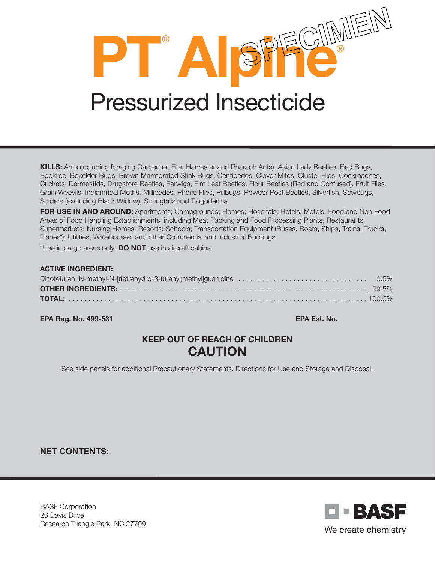**PT**® **ALPIE** 

# Pressurized Insecticide

KILLS: Ants (including foraging Carpenter, Fire, Harvester and Pharaoh Ants), Asian Lady Beetles, Bed Bugs, Booklice, Boxelder Bugs, Brown Marmorated Stink Bugs, Centipedes, Clover Mites, Cluster Flies, Cockroaches, Crickets, Dermestids, Drugstore Beetles, Earwigs, Elm Leaf Beetles, Flour Beetles (Red and Confused), Fruit Flies, Grain Weevils, Indianmeal Moths, Millipedes, Phorid Flies, Pillbugs, Powder Post Beetles, Silverfish, Sowbugs, Spiders (excluding Black Widow), Springtails and Trogoderma

FOR USE IN AND AROUND: Apartments; Campgrounds; Homes; Hospitals; Hotels; Motels; Food and Non Food Areas of Food Handling Establishments, including Meat Packing and Food Processing Plants, Restaurants; Supermarkets; Nursing Homes; Resorts; Schools; Transportation Equipment (Buses, Boats, Ships, Trains, Trucks, Planes† ); Utilities, Warehouses, and other Commercial and Industrial Buildings

<sup>†</sup>Use in cargo areas only. **DO NOT** use in aircraft cabins.

#### ACTIVE INGREDIENT:

EPA Reg. No. 499-531 EPA Est. No.

# KEEP OUT OF REACH OF CHILDREN **CAUTION**

See side panels for additional Precautionary Statements, Directions for Use and Storage and Disposal.

NET CONTENTS:

BASF Corporation 26 Davis Drive Research Triangle Park, NC 27709

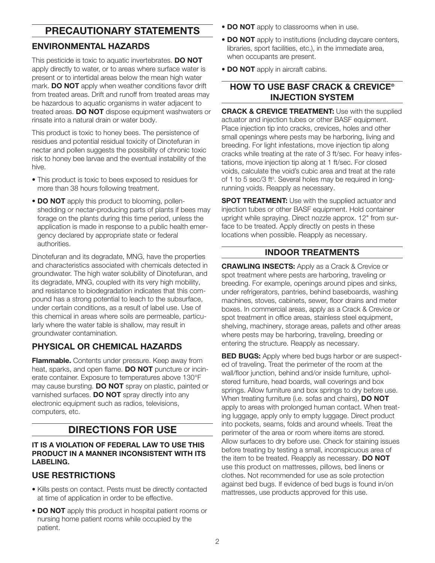# PRECAUTIONARY STATEMENTS

## ENVIRONMENTAL HAZARDS

This pesticide is toxic to aquatic invertebrates. DO NOT apply directly to water, or to areas where surface water is present or to intertidal areas below the mean high water mark. **DO NOT** apply when weather conditions favor drift from treated areas. Drift and runoff from treated areas may be hazardous to aquatic organisms in water adjacent to treated areas. DO NOT dispose equipment washwaters or rinsate into a natural drain or water body.

This product is toxic to honey bees. The persistence of residues and potential residual toxicity of Dinotefuran in nectar and pollen suggests the possibility of chronic toxic risk to honey bee larvae and the eventual instability of the hive.

- This product is toxic to bees exposed to residues for more than 38 hours following treatment.
- DO NOT apply this product to blooming, pollenshedding or nectar-producing parts of plants if bees may forage on the plants during this time period, unless the application is made in response to a public health emergency declared by appropriate state or federal authorities.

Dinotefuran and its degradate, MNG, have the properties and characteristics associated with chemicals detected in groundwater. The high water solubility of Dinotefuran, and its degradate, MNG, coupled with its very high mobility, and resistance to biodegradation indicates that this compound has a strong potential to leach to the subsurface, under certain conditions, as a result of label use. Use of this chemical in areas where soils are permeable, particularly where the water table is shallow, may result in groundwater contamination.

### PHYSICAL OR CHEMICAL HAZARDS

Flammable. Contents under pressure. Keep away from heat, sparks, and open flame. **DO NOT** puncture or incinerate container. Exposure to temperatures above 130°F may cause bursting. **DO NOT** spray on plastic, painted or varnished surfaces. DO NOT spray directly into any electronic equipment such as radios, televisions, computers, etc.

# DIRECTIONS FOR USE

#### IT IS A VIOLATION OF FEDERAL LAW TO USE THIS PRODUCT IN A MANNER INCONSISTENT WITH ITS LABELING.

#### USE RESTRICTIONS

- Kills pests on contact. Pests must be directly contacted at time of application in order to be effective.
- DO NOT apply this product in hospital patient rooms or nursing home patient rooms while occupied by the patient.
- DO NOT apply to classrooms when in use.
- **DO NOT** apply to institutions (including daycare centers, libraries, sport facilities, etc.), in the immediate area, when occupants are present.
- DO NOT apply in aircraft cabins.

#### HOW TO USE BASF CRACK & CREVICE® INJECTION SYSTEM

**CRACK & CREVICE TREATMENT:** Use with the supplied actuator and injection tubes or other BASF equipment. Place injection tip into cracks, crevices, holes and other small openings where pests may be harboring, living and breeding. For light infestations, move injection tip along cracks while treating at the rate of 3 ft/sec. For heavy infestations, move injection tip along at 1 ft/sec. For closed voids, calculate the void's cubic area and treat at the rate of 1 to 5 sec/3 ft<sup>3</sup>. Several holes may be required in longrunning voids. Reapply as necessary.

**SPOT TREATMENT:** Use with the supplied actuator and injection tubes or other BASF equipment. Hold container upright while spraying. Direct nozzle approx. 12" from surface to be treated. Apply directly on pests in these locations when possible. Reapply as necessary.

#### INDOOR TREATMENTS

CRAWLING INSECTS: Apply as a Crack & Crevice or spot treatment where pests are harboring, traveling or breeding. For example, openings around pipes and sinks, under refrigerators, pantries, behind baseboards, washing machines, stoves, cabinets, sewer, floor drains and meter boxes. In commercial areas, apply as a Crack & Crevice or spot treatment in office areas, stainless steel equipment, shelving, machinery, storage areas, pallets and other areas where pests may be harboring, traveling, breeding or entering the structure. Reapply as necessary.

**BED BUGS:** Apply where bed bugs harbor or are suspected of traveling. Treat the perimeter of the room at the wall/floor junction, behind and/or inside furniture, upholstered furniture, head boards, wall coverings and box springs. Allow furniture and box springs to dry before use. When treating furniture (i.e. sofas and chairs), **DO NOT** apply to areas with prolonged human contact. When treating luggage, apply only to empty luggage. Direct product into pockets, seams, folds and around wheels. Treat the perimeter of the area or room where items are stored. Allow surfaces to dry before use. Check for staining issues before treating by testing a small, inconspicuous area of the item to be treated. Reapply as necessary. DO NOT use this product on mattresses, pillows, bed linens or clothes. Not recommended for use as sole protection against bed bugs. If evidence of bed bugs is found in/on mattresses, use products approved for this use.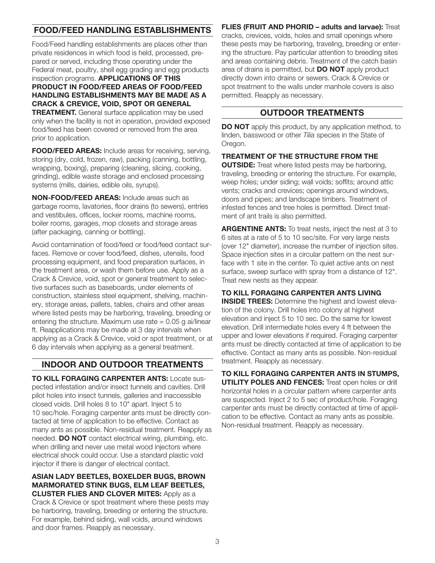#### FOOD/FEED HANDLING ESTABLISHMENTS

Food/Feed handling establishments are places other than private residences in which food is held, processed, prepared or served, including those operating under the Federal meat, poultry, shell egg grading and egg products inspection programs. APPLICATIONS OF THIS PRODUCT IN FOOD/FEED AREAS OF FOOD/FEED HANDLING ESTABLISHMENTS MAY BE MADE AS A CRACK & CREVICE, VOID, SPOT OR GENERAL **TREATMENT.** General surface application may be used only when the facility is not in operation, provided exposed food/feed has been covered or removed from the area

FOOD/FEED AREAS: Include areas for receiving, serving, storing (dry, cold, frozen, raw), packing (canning, bottling, wrapping, boxing), preparing (cleaning, slicing, cooking, grinding), edible waste storage and enclosed processing systems (mills, dairies, edible oils, syrups).

prior to application.

NON-FOOD/FEED AREAS: Include areas such as garbage rooms, lavatories, floor drains (to sewers), entries and vestibules, offices, locker rooms, machine rooms, boiler rooms, garages, mop closets and storage areas (after packaging, canning or bottling).

Avoid contamination of food/feed or food/feed contact surfaces. Remove or cover food/feed, dishes, utensils, food processing equipment, and food preparation surfaces, in the treatment area, or wash them before use. Apply as a Crack & Crevice, void, spot or general treatment to selective surfaces such as baseboards, under elements of construction, stainless steel equipment, shelving, machinery, storage areas, pallets, tables, chairs and other areas where listed pests may be harboring, traveling, breeding or entering the structure. Maximum use rate  $= 0.05$  g ai/linear ft. Reapplications may be made at 3 day intervals when applying as a Crack & Crevice, void or spot treatment, or at 6 day intervals when applying as a general treatment.

#### INDOOR AND OUTDOOR TREATMENTS

TO KILL FORAGING CARPENTER ANTS: Locate suspected infestation and/or insect tunnels and cavities. Drill pilot holes into insect tunnels, galleries and inaccessible closed voids. Drill holes 8 to 10" apart. Inject 5 to 10 sec/hole. Foraging carpenter ants must be directly contacted at time of application to be effective. Contact as many ants as possible. Non-residual treatment. Reapply as needed. **DO NOT** contact electrical wiring, plumbing, etc. when drilling and never use metal wood injectors where electrical shock could occur. Use a standard plastic void injector if there is danger of electrical contact.

#### ASIAN LADY BEETLES, BOXELDER BUGS, BROWN MARMORATED STINK BUGS, ELM LEAF BEETLES, **CLUSTER FLIES AND CLOVER MITES:** Apply as a

Crack & Crevice or spot treatment where these pests may be harboring, traveling, breeding or entering the structure. For example, behind siding, wall voids, around windows and door frames. Reapply as necessary.

FLIES (FRUIT AND PHORID - adults and larvae): Treat cracks, crevices, voids, holes and small openings where these pests may be harboring, traveling, breeding or entering the structure. Pay particular attention to breeding sites and areas containing debris. Treatment of the catch basin area of drains is permitted, but **DO NOT** apply product directly down into drains or sewers. Crack & Crevice or spot treatment to the walls under manhole covers is also permitted. Reapply as necessary.

#### OUTDOOR TREATMENTS

DO NOT apply this product, by any application method, to linden, basswood or other *Tilia* species in the State of Oregon.

TREATMENT OF THE STRUCTURE FROM THE **OUTSIDE:** Treat where listed pests may be harboring, traveling, breeding or entering the structure. For example, weep holes; under siding; wall voids; soffits; around attic vents; cracks and crevices; openings around windows, doors and pipes; and landscape timbers. Treatment of infested fences and tree holes is permitted. Direct treatment of ant trails is also permitted.

**ARGENTINE ANTS:** To treat nests, inject the nest at 3 to 6 sites at a rate of 5 to 10 sec/site. For very large nests (over 12" diameter), increase the number of injection sites. Space injection sites in a circular pattern on the nest surface with 1 site in the center. To quiet active ants on nest surface, sweep surface with spray from a distance of 12". Treat new nests as they appear.

#### TO KILL FORAGING CARPENTER ANTS LIVING

INSIDE TREES: Determine the highest and lowest elevation of the colony. Drill holes into colony at highest elevation and inject 5 to 10 sec. Do the same for lowest elevation. Drill intermediate holes every 4 ft between the upper and lower elevations if required. Foraging carpenter ants must be directly contacted at time of application to be effective. Contact as many ants as possible. Non-residual treatment. Reapply as necessary.

TO KILL FORAGING CARPENTER ANTS IN STUMPS, **UTILITY POLES AND FENCES:** Treat open holes or drill horizontal holes in a circular pattern where carpenter ants are suspected. Inject 2 to 5 sec of product/hole. Foraging carpenter ants must be directly contacted at time of application to be effective. Contact as many ants as possible. Non-residual treatment. Reapply as necessary.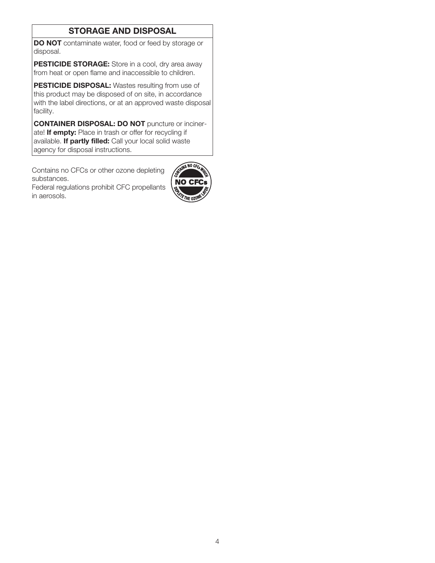#### STORAGE AND DISPOSAL

DO NOT contaminate water, food or feed by storage or disposal.

PESTICIDE STORAGE: Store in a cool, dry area away from heat or open flame and inaccessible to children.

PESTICIDE DISPOSAL: Wastes resulting from use of this product may be disposed of on site, in accordance with the label directions, or at an approved waste disposal facility.

CONTAINER DISPOSAL: DO NOT puncture or incinerate! If empty: Place in trash or offer for recycling if available. If partly filled: Call your local solid waste agency for disposal instructions.

Contains no CFCs or other ozone depleting substances.

Federal regulations prohibit CFC propellants in aerosols.